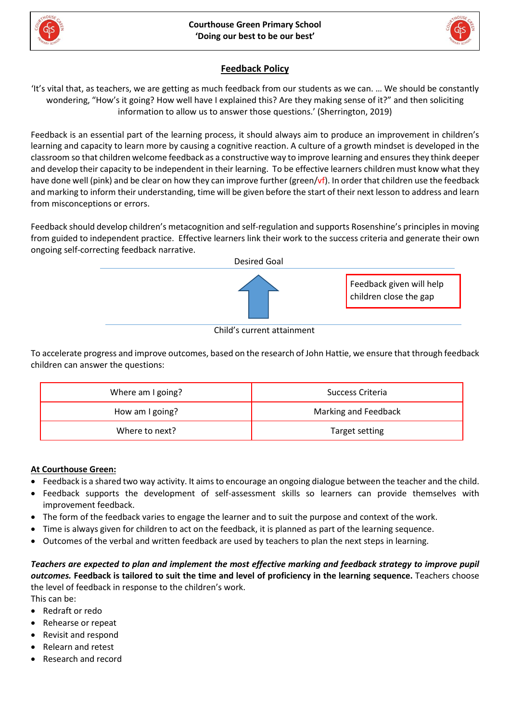



## **Feedback Policy**

'It's vital that, as teachers, we are getting as much feedback from our students as we can. … We should be constantly wondering, "How's it going? How well have I explained this? Are they making sense of it?" and then soliciting information to allow us to answer those questions.' (Sherrington, 2019)

Feedback is an essential part of the learning process, it should always aim to produce an improvement in children's learning and capacity to learn more by causing a cognitive reaction. A culture of a growth mindset is developed in the classroom so that children welcome feedback as a constructive way to improve learning and ensuresthey think deeper and develop their capacity to be independent in their learning. To be effective learners children must know what they have done well (pink) and be clear on how they can improve further (green/vf). In order that children use the feedback and marking to inform their understanding, time will be given before the start of their next lesson to address and learn from misconceptions or errors.

Feedback should develop children's metacognition and self-regulation and supports Rosenshine's principles in moving from guided to independent practice. Effective learners link their work to the success criteria and generate their own ongoing self-correcting feedback narrative.



Child's current attainment

To accelerate progress and improve outcomes, based on the research of John Hattie, we ensure that through feedback children can answer the questions:

| Where am I going? | Success Criteria     |
|-------------------|----------------------|
| How am I going?   | Marking and Feedback |
| Where to next?    | Target setting       |

## **At Courthouse Green:**

- Feedback is a shared two way activity. It aimsto encourage an ongoing dialogue between the teacher and the child.
- Feedback supports the development of self-assessment skills so learners can provide themselves with improvement feedback.
- The form of the feedback varies to engage the learner and to suit the purpose and context of the work.
- Time is always given for children to act on the feedback, it is planned as part of the learning sequence.
- Outcomes of the verbal and written feedback are used by teachers to plan the next steps in learning.

Teachers are expected to plan and implement the most effective marking and feedback strategy to improve pupil outcomes. Feedback is tailored to suit the time and level of proficiency in the learning sequence. Teachers choose the level of feedback in response to the children's work.

This can be:

- Redraft or redo
- Rehearse or repeat
- Revisit and respond
- Relearn and retest
- Research and record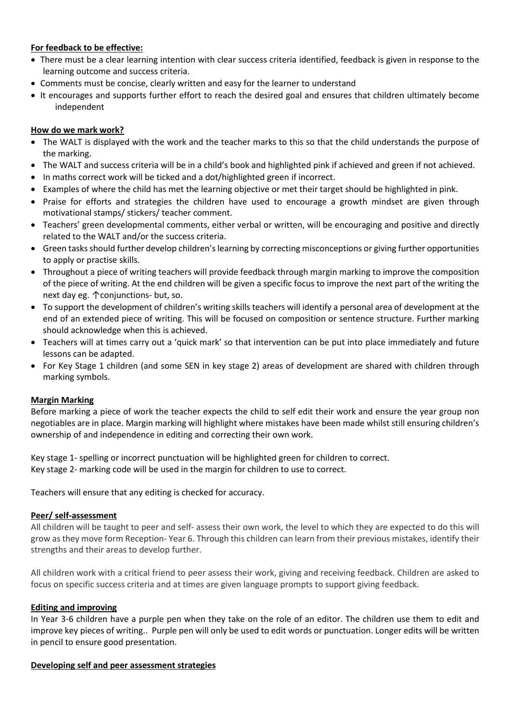## **For feedback to be effective:**

- There must be a clear learning intention with clear success criteria identified, feedback is given in response to the learning outcome and success criteria.
- Comments must be concise, clearly written and easy for the learner to understand
- It encourages and supports further effort to reach the desired goal and ensures that children ultimately become independent

#### **How do we mark work?**

- The WALT is displayed with the work and the teacher marks to this so that the child understands the purpose of the marking.
- The WALT and success criteria will be in a child's book and highlighted pink if achieved and green if not achieved.
- In maths correct work will be ticked and a dot/highlighted green if incorrect.
- Examples of where the child has met the learning objective or met their target should be highlighted in pink.
- Praise for efforts and strategies the children have used to encourage a growth mindset are given through motivational stamps/ stickers/ teacher comment.
- Teachers' green developmental comments, either verbal or written, will be encouraging and positive and directly related to the WALT and/or the success criteria.
- Green tasksshould further develop children's learning by correcting misconceptions or giving further opportunities to apply or practise skills.
- Throughout a piece of writing teachers will provide feedback through margin marking to improve the composition of the piece of writing. At the end children will be given a specific focus to improve the next part of the writing the next day eg. ↑conjunctions- but, so.
- To support the development of children's writing skills teachers will identify a personal area of development at the end of an extended piece of writing. This will be focused on composition or sentence structure. Further marking should acknowledge when this is achieved.
- Teachers will at times carry out a 'quick mark' so that intervention can be put into place immediately and future lessons can be adapted.
- For Key Stage 1 children (and some SEN in key stage 2) areas of development are shared with children through marking symbols.

#### **Margin Marking**

Before marking a piece of work the teacher expects the child to self edit their work and ensure the year group non negotiables are in place. Margin marking will highlight where mistakes have been made whilst still ensuring children's ownership of and independence in editing and correcting their own work.

Key stage 1- spelling or incorrect punctuation will be highlighted green for children to correct. Key stage 2- marking code will be used in the margin for children to use to correct.

Teachers will ensure that any editing is checked for accuracy.

#### **Peer/ self-assessment**

All children will be taught to peer and self- assess their own work, the level to which they are expected to do this will grow as they move form Reception- Year 6. Through this children can learn from their previous mistakes, identify their strengths and their areas to develop further.

All children work with a critical friend to peer assess their work, giving and receiving feedback. Children are asked to focus on specific success criteria and at times are given language prompts to support giving feedback.

#### **Editing and improving**

In Year 3-6 children have a purple pen when they take on the role of an editor. The children use them to edit and improve key pieces of writing.. Purple pen will only be used to edit words or punctuation. Longer edits will be written in pencil to ensure good presentation.

#### **Developing self and peer assessment strategies**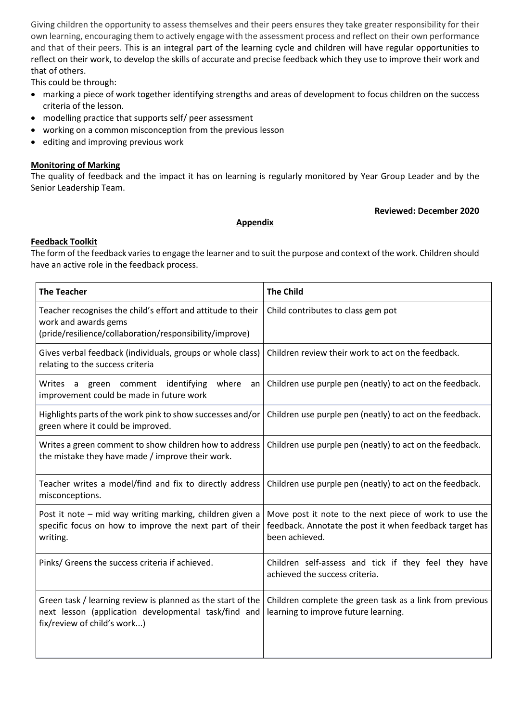Giving children the opportunity to assess themselves and their peers ensures they take greater responsibility for their own learning, encouraging them to actively engage with the assessment process and reflect on their own performance and that of their peers. This is an integral part of the learning cycle and children will have regular opportunities to reflect on their work, to develop the skills of accurate and precise feedback which they use to improve their work and that of others.

This could be through:

- marking a piece of work together identifying strengths and areas of development to focus children on the success criteria of the lesson.
- modelling practice that supports self/ peer assessment
- working on a common misconception from the previous lesson
- editing and improving previous work

## **Monitoring of Marking**

The quality of feedback and the impact it has on learning is regularly monitored by Year Group Leader and by the Senior Leadership Team.

## **Reviewed: December 2020**

## **Appendix**

## **Feedback Toolkit**

The form of the feedback varies to engage the learner and to suit the purpose and context of the work. Children should have an active role in the feedback process.

| <b>The Teacher</b>                                                                                                                                 | <b>The Child</b>                                                                                                                    |
|----------------------------------------------------------------------------------------------------------------------------------------------------|-------------------------------------------------------------------------------------------------------------------------------------|
| Teacher recognises the child's effort and attitude to their<br>work and awards gems<br>(pride/resilience/collaboration/responsibility/improve)     | Child contributes to class gem pot                                                                                                  |
| Gives verbal feedback (individuals, groups or whole class)<br>relating to the success criteria                                                     | Children review their work to act on the feedback.                                                                                  |
| where<br>Writes a<br>comment<br>identifying<br>green<br>an<br>improvement could be made in future work                                             | Children use purple pen (neatly) to act on the feedback.                                                                            |
| Highlights parts of the work pink to show successes and/or<br>green where it could be improved.                                                    | Children use purple pen (neatly) to act on the feedback.                                                                            |
| Writes a green comment to show children how to address<br>the mistake they have made / improve their work.                                         | Children use purple pen (neatly) to act on the feedback.                                                                            |
| Teacher writes a model/find and fix to directly address<br>misconceptions.                                                                         | Children use purple pen (neatly) to act on the feedback.                                                                            |
| Post it note - mid way writing marking, children given a<br>specific focus on how to improve the next part of their<br>writing.                    | Move post it note to the next piece of work to use the<br>feedback. Annotate the post it when feedback target has<br>been achieved. |
| Pinks/ Greens the success criteria if achieved.                                                                                                    | Children self-assess and tick if they feel they have<br>achieved the success criteria.                                              |
| Green task / learning review is planned as the start of the<br>next lesson (application developmental task/find and<br>fix/review of child's work) | Children complete the green task as a link from previous<br>learning to improve future learning.                                    |